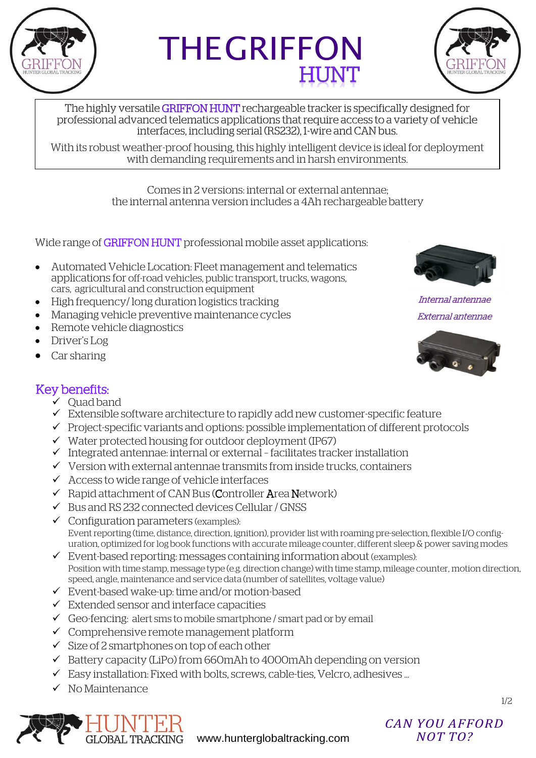

# THE GRIFFON



The highly versatile GRIFFON HUNT rechargeable tracker is specifically designed for professional advanced telematics applications that require access to a variety of vehicle interfaces, including serial (RS232), 1-wire and CAN bus.

With its robust weather-proof housing, this highly intelligent device is ideal for deployment with demanding requirements and in harsh environments.

> Comes in 2 versions: internal or external antennae; the internal antenna version includes a 4Ah rechargeable battery

Wide range of **GRIFFON HUNT** professional mobile asset applications:

- Automated Vehicle Location: Fleet management and telematics applications for off-road vehicles, public transport, trucks, wagons, cars, agricultural and construction equipment
- High frequency/ long duration logistics tracking
- Managing vehicle preventive maintenance cycles
- Remote vehicle diagnostics
- Driver's Log
- Car sharing



Internal antennae External antennae



#### Key benefits:

- $\checkmark$  Ouad band
- $\checkmark$  Extensible software architecture to rapidly add new customer-specific feature
- $\checkmark$  Project-specific variants and options: possible implementation of different protocols
- $\checkmark$  Water protected housing for outdoor deployment (IP67)
- $\checkmark$  Integrated antennae: internal or external facilitates tracker installation
- $\checkmark$  Version with external antennae transmits from inside trucks, containers
- $\checkmark$  Access to wide range of vehicle interfaces
- $\checkmark$  Rapid attachment of CAN Bus (Controller Area Network)
- $\checkmark$  Bus and RS 232 connected devices Cellular / GNSS
- $\checkmark$  Configuration parameters (examples): Event reporting (time, distance, direction, ignition), provider list with roaming pre-selection, flexible I/O configuration, optimized for log book functions with accurate mileage counter, different sleep & power saving modes
- $\checkmark$  Event-based reporting: messages containing information about (examples): Position with time stamp, message type (e.g. direction change) with time stamp, mileage counter, motion direction, speed, angle, maintenance and service data (number of satellites, voltage value)
- Event-based wake-up: time and/or motion-based
- $\checkmark$  Extended sensor and interface capacities
- $\checkmark$  Geo-fencing: alert sms to mobile smartphone / smart pad or by email
- Comprehensive remote management platform
- $\checkmark$  Size of 2 smartphones on top of each other
- $\checkmark$  Battery capacity (LiPo) from 660mAh to 4000mAh depending on version
- $\checkmark$  Easy installation: Fixed with bolts, screws, cable-ties, Velcro, adhesives ...
- $\checkmark$  No Maintenance



## *CAN YOU AFFORD*

[www.hunterglobaltracking.com](http://www.hunterglobaltracking.com/)

1/2